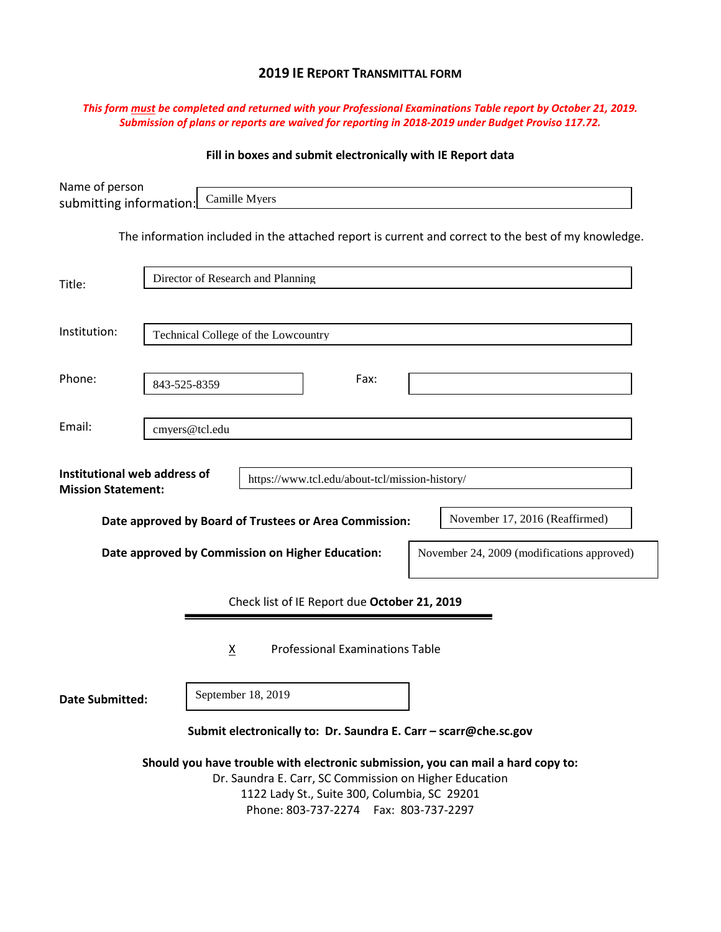# **2019 IE REPORT TRANSMITTAL FORM**

### *This form must be completed and returned with your Professional Examinations Table report by October 21, 2019. Submission of plans or reports are waived for reporting in 2018-2019 under Budget Proviso 117.72.*

# **Fill in boxes and submit electronically with IE Report data**

| Name of person<br>submitting information:                                                                                                                                                                                              |                | Camille Myers                       |                                                                                                     |  |  |  |  |  |                                |  |  |
|----------------------------------------------------------------------------------------------------------------------------------------------------------------------------------------------------------------------------------------|----------------|-------------------------------------|-----------------------------------------------------------------------------------------------------|--|--|--|--|--|--------------------------------|--|--|
|                                                                                                                                                                                                                                        |                |                                     | The information included in the attached report is current and correct to the best of my knowledge. |  |  |  |  |  |                                |  |  |
| Title:                                                                                                                                                                                                                                 |                | Director of Research and Planning   |                                                                                                     |  |  |  |  |  |                                |  |  |
| Institution:                                                                                                                                                                                                                           |                | Technical College of the Lowcountry |                                                                                                     |  |  |  |  |  |                                |  |  |
| Phone:                                                                                                                                                                                                                                 |                | Fax:<br>843-525-8359                |                                                                                                     |  |  |  |  |  |                                |  |  |
| Email:                                                                                                                                                                                                                                 | cmyers@tcl.edu |                                     |                                                                                                     |  |  |  |  |  |                                |  |  |
| Institutional web address of<br>https://www.tcl.edu/about-tcl/mission-history/<br><b>Mission Statement:</b>                                                                                                                            |                |                                     |                                                                                                     |  |  |  |  |  |                                |  |  |
|                                                                                                                                                                                                                                        |                |                                     | Date approved by Board of Trustees or Area Commission:                                              |  |  |  |  |  | November 17, 2016 (Reaffirmed) |  |  |
| Date approved by Commission on Higher Education:<br>November 24, 2009 (modifications approved)                                                                                                                                         |                |                                     |                                                                                                     |  |  |  |  |  |                                |  |  |
|                                                                                                                                                                                                                                        |                |                                     | Check list of IE Report due October 21, 2019                                                        |  |  |  |  |  |                                |  |  |
| <b>Professional Examinations Table</b><br>$\underline{x}$                                                                                                                                                                              |                |                                     |                                                                                                     |  |  |  |  |  |                                |  |  |
| Date Submitted:                                                                                                                                                                                                                        |                | September 18, 2019                  |                                                                                                     |  |  |  |  |  |                                |  |  |
| Submit electronically to: Dr. Saundra E. Carr - scarr@che.sc.gov                                                                                                                                                                       |                |                                     |                                                                                                     |  |  |  |  |  |                                |  |  |
| Should you have trouble with electronic submission, you can mail a hard copy to:<br>Dr. Saundra E. Carr, SC Commission on Higher Education<br>1122 Lady St., Suite 300, Columbia, SC 29201<br>Phone: 803-737-2274    Fax: 803-737-2297 |                |                                     |                                                                                                     |  |  |  |  |  |                                |  |  |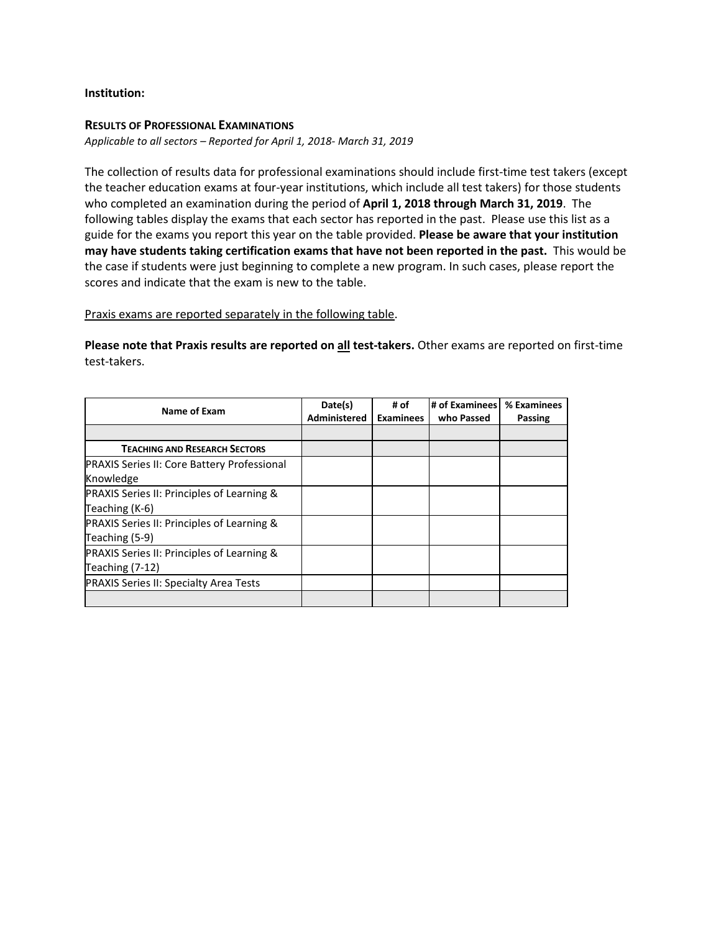#### **Institution:**

#### **RESULTS OF PROFESSIONAL EXAMINATIONS**

*Applicable to all sectors – Reported for April 1, 2018- March 31, 2019*

The collection of results data for professional examinations should include first-time test takers (except the teacher education exams at four-year institutions, which include all test takers) for those students who completed an examination during the period of **April 1, 2018 through March 31, 2019**. The following tables display the exams that each sector has reported in the past. Please use this list as a guide for the exams you report this year on the table provided. **Please be aware that your institution may have students taking certification exams that have not been reported in the past.** This would be the case if students were just beginning to complete a new program. In such cases, please report the scores and indicate that the exam is new to the table.

Praxis exams are reported separately in the following table.

**Please note that Praxis results are reported on all test-takers.** Other exams are reported on first-time test-takers.

| Name of Exam                                                             | Date(s)<br>Administered | # of<br><b>Examinees</b> | # of Examinees<br>who Passed | % Examinees<br><b>Passing</b> |
|--------------------------------------------------------------------------|-------------------------|--------------------------|------------------------------|-------------------------------|
|                                                                          |                         |                          |                              |                               |
| <b>TEACHING AND RESEARCH SECTORS</b>                                     |                         |                          |                              |                               |
| <b>PRAXIS Series II: Core Battery Professional</b><br>Knowledge          |                         |                          |                              |                               |
| <b>PRAXIS Series II: Principles of Learning &amp;</b><br>Teaching (K-6)  |                         |                          |                              |                               |
| PRAXIS Series II: Principles of Learning &<br>Teaching (5-9)             |                         |                          |                              |                               |
| <b>PRAXIS Series II: Principles of Learning &amp;</b><br>Teaching (7-12) |                         |                          |                              |                               |
| <b>PRAXIS Series II: Specialty Area Tests</b>                            |                         |                          |                              |                               |
|                                                                          |                         |                          |                              |                               |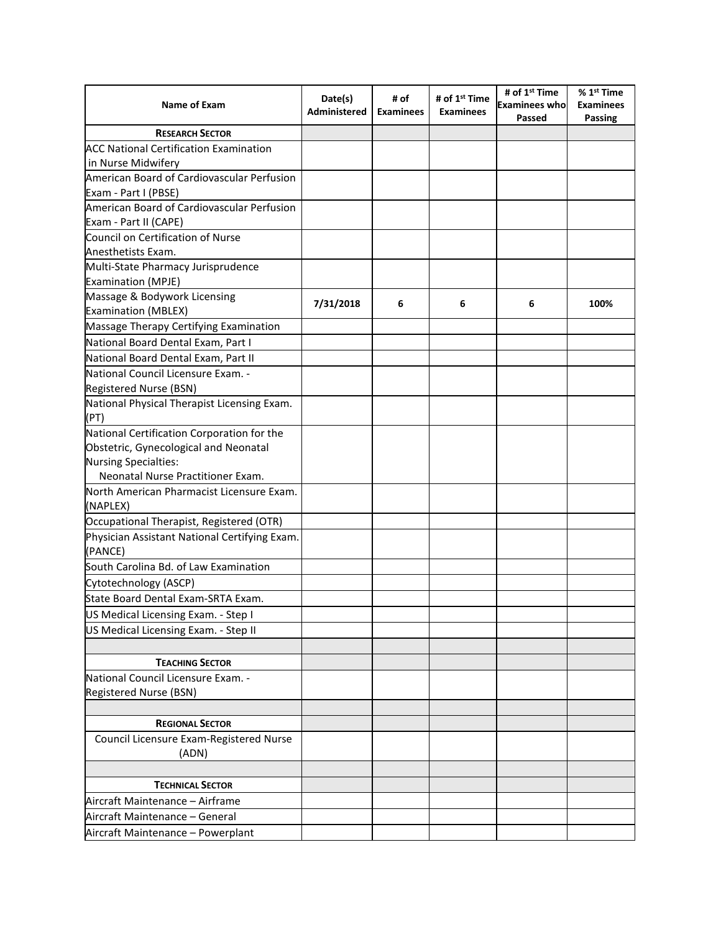| Name of Exam                                              | Date(s)<br>Administered | # of<br><b>Examinees</b> | # of 1 <sup>st</sup> Time<br><b>Examinees</b> | # of 1 <sup>st</sup> Time<br><b>Examinees who</b><br>Passed | % 1 <sup>st</sup> Time<br><b>Examinees</b><br>Passing |
|-----------------------------------------------------------|-------------------------|--------------------------|-----------------------------------------------|-------------------------------------------------------------|-------------------------------------------------------|
| <b>RESEARCH SECTOR</b>                                    |                         |                          |                                               |                                                             |                                                       |
| <b>ACC National Certification Examination</b>             |                         |                          |                                               |                                                             |                                                       |
| in Nurse Midwifery                                        |                         |                          |                                               |                                                             |                                                       |
| American Board of Cardiovascular Perfusion                |                         |                          |                                               |                                                             |                                                       |
| Exam - Part I (PBSE)                                      |                         |                          |                                               |                                                             |                                                       |
| American Board of Cardiovascular Perfusion                |                         |                          |                                               |                                                             |                                                       |
| Exam - Part II (CAPE)                                     |                         |                          |                                               |                                                             |                                                       |
| Council on Certification of Nurse                         |                         |                          |                                               |                                                             |                                                       |
| Anesthetists Exam.                                        |                         |                          |                                               |                                                             |                                                       |
| Multi-State Pharmacy Jurisprudence                        |                         |                          |                                               |                                                             |                                                       |
| <b>Examination (MPJE)</b>                                 |                         |                          |                                               |                                                             |                                                       |
| Massage & Bodywork Licensing                              | 7/31/2018               | 6                        | 6                                             | 6                                                           | 100%                                                  |
| <b>Examination (MBLEX)</b>                                |                         |                          |                                               |                                                             |                                                       |
| Massage Therapy Certifying Examination                    |                         |                          |                                               |                                                             |                                                       |
| National Board Dental Exam, Part I                        |                         |                          |                                               |                                                             |                                                       |
| National Board Dental Exam, Part II                       |                         |                          |                                               |                                                             |                                                       |
| National Council Licensure Exam. -                        |                         |                          |                                               |                                                             |                                                       |
| Registered Nurse (BSN)                                    |                         |                          |                                               |                                                             |                                                       |
| National Physical Therapist Licensing Exam.               |                         |                          |                                               |                                                             |                                                       |
| (PT)                                                      |                         |                          |                                               |                                                             |                                                       |
| National Certification Corporation for the                |                         |                          |                                               |                                                             |                                                       |
| Obstetric, Gynecological and Neonatal                     |                         |                          |                                               |                                                             |                                                       |
| Nursing Specialties:<br>Neonatal Nurse Practitioner Exam. |                         |                          |                                               |                                                             |                                                       |
| North American Pharmacist Licensure Exam.                 |                         |                          |                                               |                                                             |                                                       |
| (NAPLEX)                                                  |                         |                          |                                               |                                                             |                                                       |
| Occupational Therapist, Registered (OTR)                  |                         |                          |                                               |                                                             |                                                       |
| Physician Assistant National Certifying Exam.<br>(PANCE)  |                         |                          |                                               |                                                             |                                                       |
| South Carolina Bd. of Law Examination                     |                         |                          |                                               |                                                             |                                                       |
| Cytotechnology (ASCP)                                     |                         |                          |                                               |                                                             |                                                       |
| State Board Dental Exam-SRTA Exam.                        |                         |                          |                                               |                                                             |                                                       |
| US Medical Licensing Exam. - Step I                       |                         |                          |                                               |                                                             |                                                       |
| US Medical Licensing Exam. - Step II                      |                         |                          |                                               |                                                             |                                                       |
|                                                           |                         |                          |                                               |                                                             |                                                       |
| <b>TEACHING SECTOR</b>                                    |                         |                          |                                               |                                                             |                                                       |
| National Council Licensure Exam. -                        |                         |                          |                                               |                                                             |                                                       |
| Registered Nurse (BSN)                                    |                         |                          |                                               |                                                             |                                                       |
|                                                           |                         |                          |                                               |                                                             |                                                       |
| <b>REGIONAL SECTOR</b>                                    |                         |                          |                                               |                                                             |                                                       |
| Council Licensure Exam-Registered Nurse                   |                         |                          |                                               |                                                             |                                                       |
| (ADN)                                                     |                         |                          |                                               |                                                             |                                                       |
|                                                           |                         |                          |                                               |                                                             |                                                       |
| <b>TECHNICAL SECTOR</b>                                   |                         |                          |                                               |                                                             |                                                       |
| Aircraft Maintenance - Airframe                           |                         |                          |                                               |                                                             |                                                       |
| Aircraft Maintenance - General                            |                         |                          |                                               |                                                             |                                                       |
| Aircraft Maintenance - Powerplant                         |                         |                          |                                               |                                                             |                                                       |